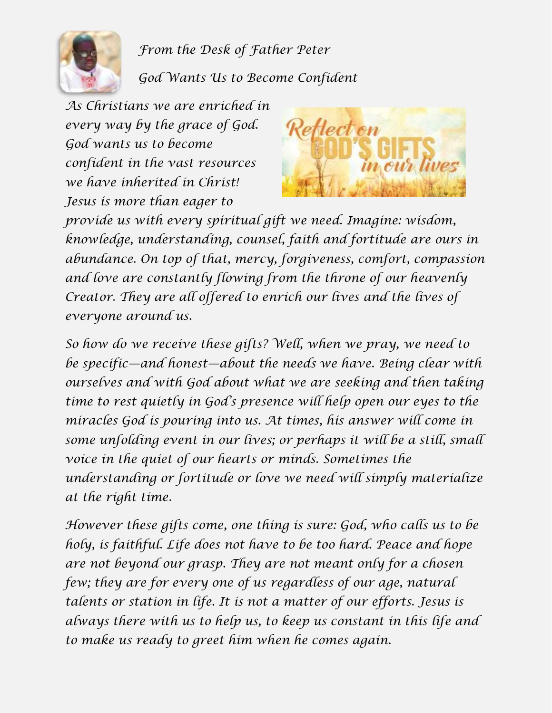

*From the Desk of Father Peter*

*God Wants Us to Become Confident*

*As Christians we are enriched in every way by the grace of God. God wants us to become confident in the vast resources we have inherited in Christ! Jesus is more than eager to* 



*provide us with every spiritual gift we need. Imagine: wisdom, knowledge, understanding, counsel, faith and fortitude are ours in abundance. On top of that, mercy, forgiveness, comfort, compassion and love are constantly flowing from the throne of our heavenly Creator. They are all offered to enrich our lives and the lives of everyone around us.*

*So how do we receive these gifts? Well, when we pray, we need to be specific—and honest—about the needs we have. Being clear with ourselves and with God about what we are seeking and then taking time to rest quietly in God's presence will help open our eyes to the miracles God is pouring into us. At times, his answer will come in some unfolding event in our lives; or perhaps it will be a still, small voice in the quiet of our hearts or minds. Sometimes the understanding or fortitude or love we need will simply materialize at the right time.*

*However these gifts come, one thing is sure: God, who calls us to be holy, is faithful. Life does not have to be too hard. Peace and hope are not beyond our grasp. They are not meant only for a chosen few; they are for every one of us regardless of our age, natural talents or station in life. It is not a matter of our efforts. Jesus is always there with us to help us, to keep us constant in this life and to make us ready to greet him when he comes again.*